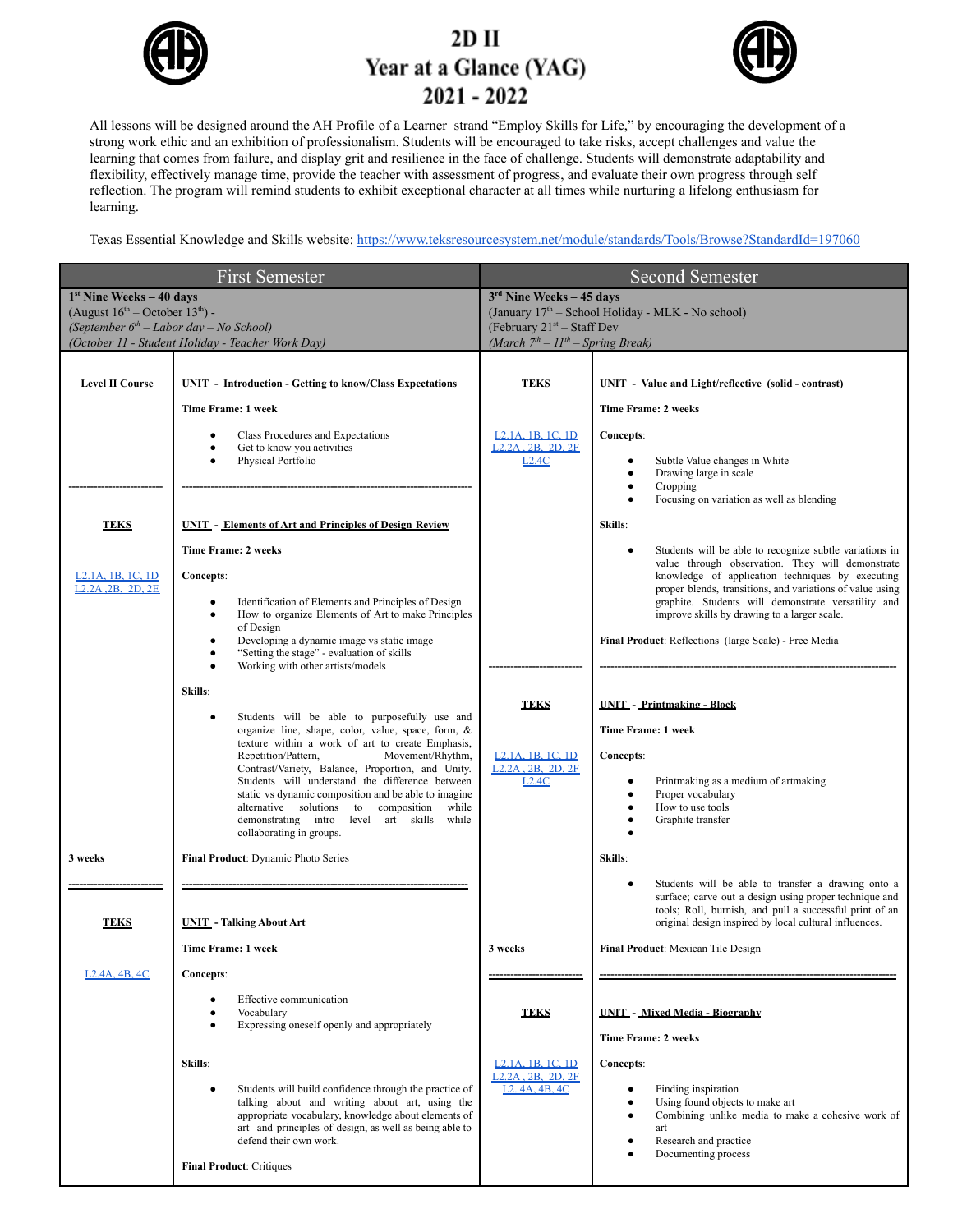

### $2D$  II Year at a Glance (YAG)  $2021 - 2022$



All lessons will be designed around the AH Profile of a Learner strand "Employ Skills for Life," by encouraging the development of a strong work ethic and an exhibition of professionalism. Students will be encouraged to take risks, accept challenges and value the learning that comes from failure, and display grit and resilience in the face of challenge. Students will demonstrate adaptability and flexibility, effectively manage time, provide the teacher with assessment of progress, and evaluate their own progress through self reflection. The program will remind students to exhibit exceptional character at all times while nurturing a lifelong enthusiasm for learning.

Texas Essential Knowledge and Skills website: <https://www.teksresourcesystem.net/module/standards/Tools/Browse?StandardId=197060>

|                                                                                                                                                                           | <b>First Semester</b>                                                                                                                                                                                                                                                                                                                                                                                                                                                                                                                                                                                                                                                                               |                                                                                                                                                            | <b>Second Semester</b>                                                                                                                                                                                                                                                                                                                                                                                                                                                                                       |
|---------------------------------------------------------------------------------------------------------------------------------------------------------------------------|-----------------------------------------------------------------------------------------------------------------------------------------------------------------------------------------------------------------------------------------------------------------------------------------------------------------------------------------------------------------------------------------------------------------------------------------------------------------------------------------------------------------------------------------------------------------------------------------------------------------------------------------------------------------------------------------------------|------------------------------------------------------------------------------------------------------------------------------------------------------------|--------------------------------------------------------------------------------------------------------------------------------------------------------------------------------------------------------------------------------------------------------------------------------------------------------------------------------------------------------------------------------------------------------------------------------------------------------------------------------------------------------------|
| $1st$ Nine Weeks – 40 days<br>(August $16^{th}$ – October $13^{th}$ ) -<br>(September $6th$ – Labor day – No School)<br>(October 11 - Student Holiday - Teacher Work Day) |                                                                                                                                                                                                                                                                                                                                                                                                                                                                                                                                                                                                                                                                                                     | $3rd$ Nine Weeks – 45 days<br>(January 17th - School Holiday - MLK - No school)<br>(February $21^{st}$ – Staff Dev<br>(March $7th - 11th - Spring Break$ ) |                                                                                                                                                                                                                                                                                                                                                                                                                                                                                                              |
|                                                                                                                                                                           |                                                                                                                                                                                                                                                                                                                                                                                                                                                                                                                                                                                                                                                                                                     |                                                                                                                                                            |                                                                                                                                                                                                                                                                                                                                                                                                                                                                                                              |
| <b>Level II Course</b>                                                                                                                                                    | <b>UNIT - Introduction - Getting to know/Class Expectations</b>                                                                                                                                                                                                                                                                                                                                                                                                                                                                                                                                                                                                                                     | <b>TEKS</b>                                                                                                                                                | <b>UNIT</b> - Value and Light/reflective (solid - contrast)                                                                                                                                                                                                                                                                                                                                                                                                                                                  |
|                                                                                                                                                                           | Time Frame: 1 week                                                                                                                                                                                                                                                                                                                                                                                                                                                                                                                                                                                                                                                                                  |                                                                                                                                                            | Time Frame: 2 weeks                                                                                                                                                                                                                                                                                                                                                                                                                                                                                          |
|                                                                                                                                                                           | Class Procedures and Expectations<br>$\bullet$<br>Get to know you activities<br>$\bullet$<br>Physical Portfolio                                                                                                                                                                                                                                                                                                                                                                                                                                                                                                                                                                                     | L <sub>2</sub> .1A, 1B, 1C, 1D<br>L <sub>2</sub> 2A 2B 2D 2E<br>L2.4C                                                                                      | Concepts:<br>Subtle Value changes in White<br>Drawing large in scale<br>Cropping<br>Focusing on variation as well as blending                                                                                                                                                                                                                                                                                                                                                                                |
| <b>TEKS</b>                                                                                                                                                               | <b>UNIT</b> - Elements of Art and Principles of Design Review                                                                                                                                                                                                                                                                                                                                                                                                                                                                                                                                                                                                                                       |                                                                                                                                                            | Skills:                                                                                                                                                                                                                                                                                                                                                                                                                                                                                                      |
| L <sub>2</sub> .1A, 1B, 1C, 1D<br>L <sub>2</sub> .2A . <sub>2</sub> B. 2D. 2E                                                                                             | <b>Time Frame: 2 weeks</b><br><b>Concepts:</b><br>Identification of Elements and Principles of Design<br>$\bullet$<br>How to organize Elements of Art to make Principles<br>$\bullet$<br>of Design<br>Developing a dynamic image vs static image<br>$\bullet$<br>"Setting the stage" - evaluation of skills<br>$\bullet$<br>Working with other artists/models<br>Skills:<br>Students will be able to purposefully use and<br>$\bullet$<br>organize line, shape, color, value, space, form, &<br>texture within a work of art to create Emphasis,<br>Movement/Rhythm,<br>Repetition/Pattern,<br>Contrast/Variety, Balance, Proportion, and Unity.<br>Students will understand the difference between | <b>TEKS</b><br>L <sub>2</sub> 1A <sub>-1</sub> B <sub>-1</sub> C <sub>-1</sub> D<br>L <sub>2</sub> .2A, 2B, 2D, 2F<br>L2.4C                                | Students will be able to recognize subtle variations in<br>value through observation. They will demonstrate<br>knowledge of application techniques by executing<br>proper blends, transitions, and variations of value using<br>graphite. Students will demonstrate versatility and<br>improve skills by drawing to a larger scale.<br>Final Product: Reflections (large Scale) - Free Media<br><b>UNIT - Printmaking - Block</b><br>Time Frame: 1 week<br>Concepts:<br>Printmaking as a medium of artmaking |
| 3 weeks                                                                                                                                                                   | static vs dynamic composition and be able to imagine<br>alternative solutions to composition<br>while<br>demonstrating intro level art skills while<br>collaborating in groups.<br>Final Product: Dynamic Photo Series                                                                                                                                                                                                                                                                                                                                                                                                                                                                              |                                                                                                                                                            | Proper vocabulary<br>How to use tools<br>Graphite transfer<br>Skills:                                                                                                                                                                                                                                                                                                                                                                                                                                        |
| <b>TEKS</b>                                                                                                                                                               | <b>UNIT</b> - Talking About Art                                                                                                                                                                                                                                                                                                                                                                                                                                                                                                                                                                                                                                                                     |                                                                                                                                                            | Students will be able to transfer a drawing onto a<br>surface; carve out a design using proper technique and<br>tools; Roll, burnish, and pull a successful print of an<br>original design inspired by local cultural influences.                                                                                                                                                                                                                                                                            |
|                                                                                                                                                                           | Time Frame: 1 week                                                                                                                                                                                                                                                                                                                                                                                                                                                                                                                                                                                                                                                                                  | 3 weeks                                                                                                                                                    | Final Product: Mexican Tile Design                                                                                                                                                                                                                                                                                                                                                                                                                                                                           |
| L <sub>2</sub> .4A, 4B, 4C                                                                                                                                                | <b>Concepts:</b><br>Effective communication<br>Vocabulary<br>Expressing oneself openly and appropriately                                                                                                                                                                                                                                                                                                                                                                                                                                                                                                                                                                                            | <b>TEKS</b>                                                                                                                                                | <b>UNIT</b> - Mixed Media - Biography<br>Time Frame: 2 weeks                                                                                                                                                                                                                                                                                                                                                                                                                                                 |
|                                                                                                                                                                           | Skills:<br>Students will build confidence through the practice of<br>$\bullet$<br>talking about and writing about art, using the<br>appropriate vocabulary, knowledge about elements of<br>art and principles of design, as well as being able to<br>defend their own work.<br><b>Final Product: Critiques</b>                                                                                                                                                                                                                                                                                                                                                                                      | L <sub>2</sub> 1A <sub>, 1</sub> B, 1C, 1D<br>L <sub>2</sub> .2A, 2B, 2D, 2F<br>L <sub>2</sub> , 4A, 4B, 4C                                                | Concepts:<br>Finding inspiration<br>Using found objects to make art<br>Combining unlike media to make a cohesive work of<br>art<br>Research and practice<br>Documenting process                                                                                                                                                                                                                                                                                                                              |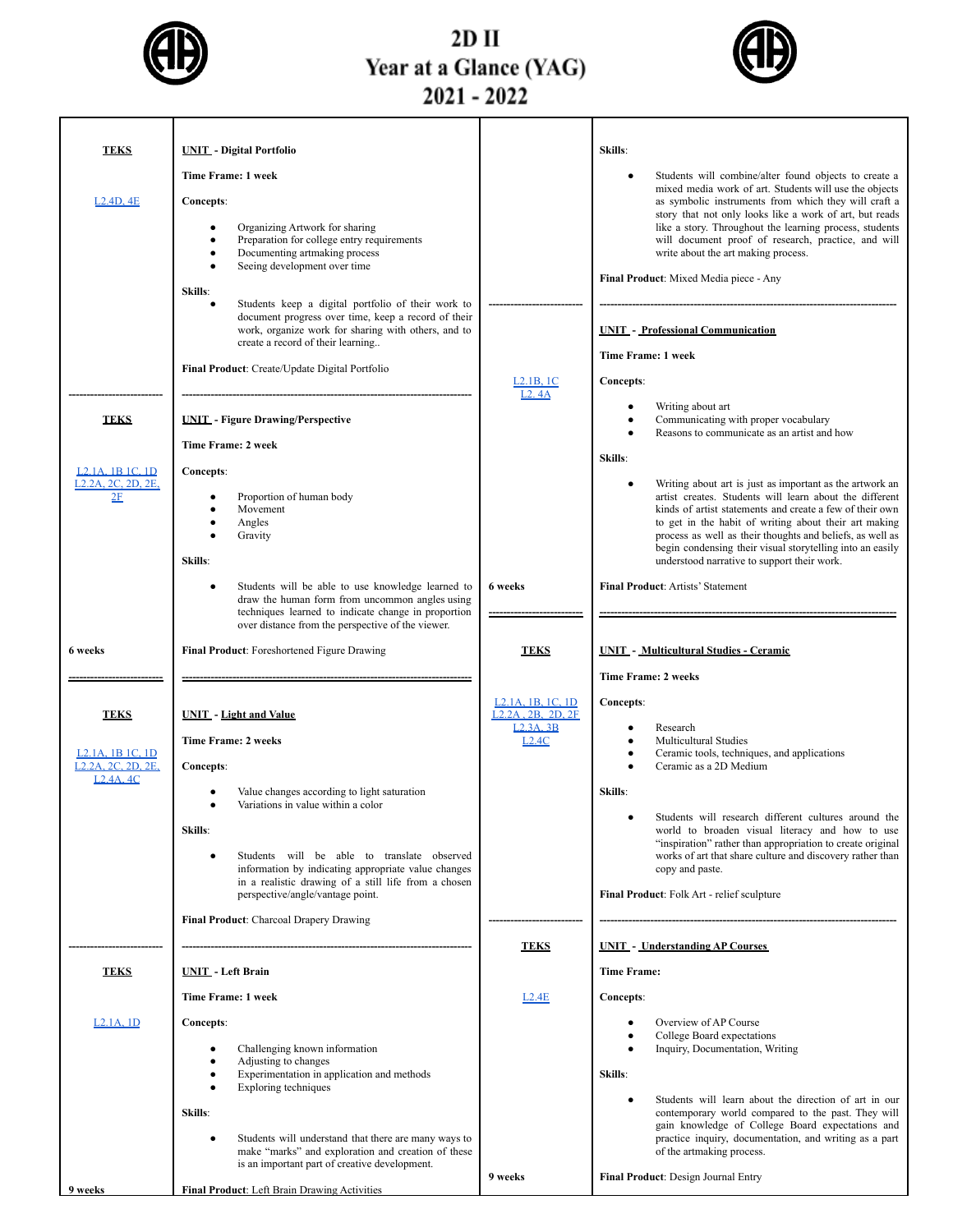

### $2D$  II Year at a Glance (YAG)<br>2021 - 2022



| <b>TEKS</b>                                                         | <b>UNIT</b> - Digital Portfolio                                                                                                                                                                                    |                                                                  | Skills:                                                                                                                                                                                                                                                                                                                                                                                                           |
|---------------------------------------------------------------------|--------------------------------------------------------------------------------------------------------------------------------------------------------------------------------------------------------------------|------------------------------------------------------------------|-------------------------------------------------------------------------------------------------------------------------------------------------------------------------------------------------------------------------------------------------------------------------------------------------------------------------------------------------------------------------------------------------------------------|
|                                                                     | Time Frame: 1 week                                                                                                                                                                                                 |                                                                  | Students will combine/alter found objects to create a                                                                                                                                                                                                                                                                                                                                                             |
| L2.4D.4E                                                            | Concepts:                                                                                                                                                                                                          |                                                                  | mixed media work of art. Students will use the objects<br>as symbolic instruments from which they will craft a                                                                                                                                                                                                                                                                                                    |
|                                                                     | Organizing Artwork for sharing<br>$\bullet$<br>Preparation for college entry requirements<br>Documenting artmaking process<br>٠<br>Seeing development over time                                                    |                                                                  | story that not only looks like a work of art, but reads<br>like a story. Throughout the learning process, students<br>will document proof of research, practice, and will<br>write about the art making process.                                                                                                                                                                                                  |
|                                                                     | Skills:                                                                                                                                                                                                            |                                                                  | Final Product: Mixed Media piece - Any                                                                                                                                                                                                                                                                                                                                                                            |
|                                                                     | Students keep a digital portfolio of their work to<br>$\bullet$<br>document progress over time, keep a record of their<br>work, organize work for sharing with others, and to<br>create a record of their learning |                                                                  | <b>UNIT - Professional Communication</b>                                                                                                                                                                                                                                                                                                                                                                          |
|                                                                     | Final Product: Create/Update Digital Portfolio                                                                                                                                                                     |                                                                  | Time Frame: 1 week                                                                                                                                                                                                                                                                                                                                                                                                |
|                                                                     |                                                                                                                                                                                                                    | L2.1B, 1C<br>L2.4A                                               | Concepts:                                                                                                                                                                                                                                                                                                                                                                                                         |
| <b>TEKS</b>                                                         | <b>UNIT</b> - Figure Drawing/Perspective                                                                                                                                                                           |                                                                  | Writing about art<br>Communicating with proper vocabulary<br>Reasons to communicate as an artist and how                                                                                                                                                                                                                                                                                                          |
|                                                                     | Time Frame: 2 week                                                                                                                                                                                                 |                                                                  | Skills:                                                                                                                                                                                                                                                                                                                                                                                                           |
| L <sub>2</sub> 1A 1B 1C 1D<br>L <sub>2</sub> .2A, 2C, 2D, 2E,<br>2E | Concepts:<br>Proportion of human body<br>Movement<br>٠<br>Angles<br>Gravity<br>Skills:                                                                                                                             |                                                                  | Writing about art is just as important as the artwork an<br>artist creates. Students will learn about the different<br>kinds of artist statements and create a few of their own<br>to get in the habit of writing about their art making<br>process as well as their thoughts and beliefs, as well as<br>begin condensing their visual storytelling into an easily<br>understood narrative to support their work. |
|                                                                     | Students will be able to use knowledge learned to<br>$\bullet$<br>draw the human form from uncommon angles using                                                                                                   | 6 weeks                                                          | <b>Final Product: Artists' Statement</b>                                                                                                                                                                                                                                                                                                                                                                          |
|                                                                     | techniques learned to indicate change in proportion<br>over distance from the perspective of the viewer.                                                                                                           |                                                                  |                                                                                                                                                                                                                                                                                                                                                                                                                   |
| 6 weeks                                                             | Final Product: Foreshortened Figure Drawing                                                                                                                                                                        | <b>TEKS</b>                                                      | <b>UNIT - Multicultural Studies - Ceramic</b>                                                                                                                                                                                                                                                                                                                                                                     |
|                                                                     |                                                                                                                                                                                                                    |                                                                  | <b>Time Frame: 2 weeks</b>                                                                                                                                                                                                                                                                                                                                                                                        |
| <b>TEKS</b>                                                         | <b>UNIT</b> - Light and Value                                                                                                                                                                                      | L <sub>2</sub> .1A, 1B, 1C, 1D<br>L <sub>2</sub> .2A, 2B, 2D, 2F | Concepts:                                                                                                                                                                                                                                                                                                                                                                                                         |
|                                                                     | <b>Time Frame: 2 weeks</b>                                                                                                                                                                                         | L23A3B<br>L2.4C                                                  | Research<br><b>Multicultural Studies</b>                                                                                                                                                                                                                                                                                                                                                                          |
| L <sub>2</sub> .1A, 1B 1C, 1D<br>L <sub>2</sub> .2A, 2C, 2D, 2E,    | Concepts:                                                                                                                                                                                                          |                                                                  | Ceramic tools, techniques, and applications<br>Ceramic as a 2D Medium                                                                                                                                                                                                                                                                                                                                             |
| L <sub>2</sub> 4A <sub>4</sub> C                                    | Value changes according to light saturation<br>Variations in value within a color                                                                                                                                  |                                                                  | Skills:                                                                                                                                                                                                                                                                                                                                                                                                           |
|                                                                     | Skills:                                                                                                                                                                                                            |                                                                  | Students will research different cultures around the<br>world to broaden visual literacy and how to use                                                                                                                                                                                                                                                                                                           |
|                                                                     | Students will be able to translate observed<br>information by indicating appropriate value changes<br>in a realistic drawing of a still life from a chosen                                                         |                                                                  | "inspiration" rather than appropriation to create original<br>works of art that share culture and discovery rather than<br>copy and paste.                                                                                                                                                                                                                                                                        |
|                                                                     | perspective/angle/vantage point.                                                                                                                                                                                   |                                                                  | Final Product: Folk Art - relief sculpture                                                                                                                                                                                                                                                                                                                                                                        |
|                                                                     | Final Product: Charcoal Drapery Drawing                                                                                                                                                                            |                                                                  |                                                                                                                                                                                                                                                                                                                                                                                                                   |
| <b>TEKS</b>                                                         | <b>UNIT</b> - Left Brain                                                                                                                                                                                           | <b>TEKS</b>                                                      | <b>UNIT - Understanding AP Courses</b><br><b>Time Frame:</b>                                                                                                                                                                                                                                                                                                                                                      |
|                                                                     | Time Frame: 1 week                                                                                                                                                                                                 | L2.4E                                                            | <b>Concepts:</b>                                                                                                                                                                                                                                                                                                                                                                                                  |
| $L2.1A$ , $1D$                                                      | <b>Concepts:</b>                                                                                                                                                                                                   |                                                                  | Overview of AP Course                                                                                                                                                                                                                                                                                                                                                                                             |
|                                                                     | Challenging known information<br>٠                                                                                                                                                                                 |                                                                  | College Board expectations<br>Inquiry, Documentation, Writing                                                                                                                                                                                                                                                                                                                                                     |
|                                                                     | Adjusting to changes<br>Experimentation in application and methods                                                                                                                                                 |                                                                  | Skills:                                                                                                                                                                                                                                                                                                                                                                                                           |
|                                                                     | <b>Exploring techniques</b>                                                                                                                                                                                        |                                                                  | Students will learn about the direction of art in our                                                                                                                                                                                                                                                                                                                                                             |
|                                                                     | Skills:                                                                                                                                                                                                            |                                                                  | contemporary world compared to the past. They will<br>gain knowledge of College Board expectations and<br>practice inquiry, documentation, and writing as a part                                                                                                                                                                                                                                                  |
|                                                                     | Students will understand that there are many ways to<br>make "marks" and exploration and creation of these<br>is an important part of creative development.                                                        |                                                                  | of the artmaking process.                                                                                                                                                                                                                                                                                                                                                                                         |
| 9 weeks                                                             | Final Product: Left Brain Drawing Activities                                                                                                                                                                       | 9 weeks                                                          | Final Product: Design Journal Entry                                                                                                                                                                                                                                                                                                                                                                               |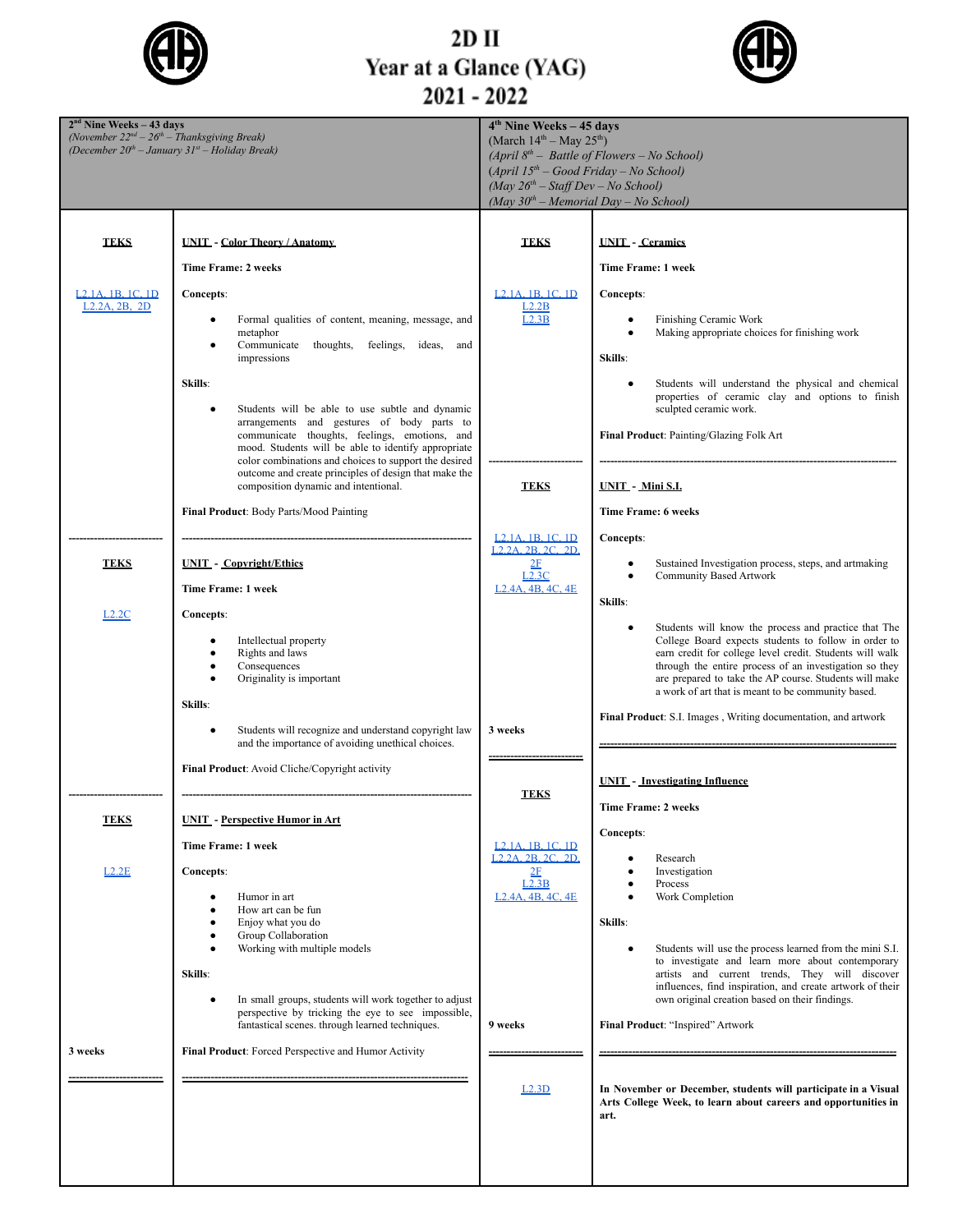

# 2D II<br>Year at a Glance (YAG)<br>2021 - 2022



| $2nd$ Nine Weeks – 43 days<br>(November $22^{nd} - 26^{th} - Thanksgiving$ Break) |                                                                                                            | $4th$ Nine Weeks – 45 days<br>(March $14^{th}$ – May $25^{th}$ )                 |                                                                                                                    |
|-----------------------------------------------------------------------------------|------------------------------------------------------------------------------------------------------------|----------------------------------------------------------------------------------|--------------------------------------------------------------------------------------------------------------------|
|                                                                                   | (December $20^{th}$ – January $31^{st}$ – Holiday Break)                                                   |                                                                                  | (April $8^{th}$ – Battle of Flowers – No School)                                                                   |
|                                                                                   |                                                                                                            | $(April 15th - Good Friday - No School)$<br>$(May 26th - Staff Dev - No School)$ |                                                                                                                    |
|                                                                                   |                                                                                                            | (May $30^{th}$ – Memorial Day – No School)                                       |                                                                                                                    |
|                                                                                   |                                                                                                            |                                                                                  |                                                                                                                    |
| <b>TEKS</b>                                                                       | <b>UNIT - Color Theory / Anatomy</b>                                                                       | <b>TEKS</b>                                                                      | <b>UNIT</b> - Ceramics                                                                                             |
|                                                                                   | <b>Time Frame: 2 weeks</b>                                                                                 |                                                                                  | Time Frame: 1 week                                                                                                 |
| L <sub>2</sub> 1A <sub>, 1</sub> B <sub>, 1</sub> C, 1D                           | Concepts:                                                                                                  | L <sub>2</sub> .1A 1B 1C 1D                                                      | Concepts:                                                                                                          |
| L <sub>2</sub> .2A, 2B, 2D                                                        |                                                                                                            | L2.2B                                                                            |                                                                                                                    |
|                                                                                   | Formal qualities of content, meaning, message, and<br>$\bullet$<br>metaphor                                | L2.3B                                                                            | Finishing Ceramic Work<br>٠<br>Making appropriate choices for finishing work                                       |
|                                                                                   | Communicate<br>thoughts, feelings,<br>ideas, and<br>$\bullet$<br>impressions                               |                                                                                  | Skills:                                                                                                            |
|                                                                                   |                                                                                                            |                                                                                  |                                                                                                                    |
|                                                                                   | Skills:                                                                                                    |                                                                                  | Students will understand the physical and chemical<br>properties of ceramic clay and options to finish             |
|                                                                                   | Students will be able to use subtle and dynamic<br>$\bullet$<br>arrangements and gestures of body parts to |                                                                                  | sculpted ceramic work.                                                                                             |
|                                                                                   | communicate thoughts, feelings, emotions, and<br>mood. Students will be able to identify appropriate       |                                                                                  | Final Product: Painting/Glazing Folk Art                                                                           |
|                                                                                   | color combinations and choices to support the desired                                                      |                                                                                  |                                                                                                                    |
|                                                                                   | outcome and create principles of design that make the<br>composition dynamic and intentional.              | <b>TEKS</b>                                                                      | <b>UNIT</b> - Mini S.L.                                                                                            |
|                                                                                   | Final Product: Body Parts/Mood Painting                                                                    |                                                                                  | <b>Time Frame: 6 weeks</b>                                                                                         |
|                                                                                   |                                                                                                            | L <sub>2</sub> .1A, 1B, 1C, 1D                                                   | Concepts:                                                                                                          |
|                                                                                   |                                                                                                            | L <sub>2</sub> 2A 2B 2C 2D                                                       |                                                                                                                    |
| <b>TEKS</b>                                                                       | <b>UNIT</b> - Copyright/Ethics                                                                             | 2F<br>L2.3C                                                                      | Sustained Investigation process, steps, and artmaking<br>٠<br><b>Community Based Artwork</b>                       |
|                                                                                   | Time Frame: 1 week                                                                                         | L <sub>2</sub> .4A, 4B, 4C, 4E                                                   | Skills:                                                                                                            |
| L <sub>2.2</sub> C                                                                | Concepts:                                                                                                  |                                                                                  | Students will know the process and practice that The<br>$\bullet$                                                  |
|                                                                                   | Intellectual property                                                                                      |                                                                                  | College Board expects students to follow in order to                                                               |
|                                                                                   | Rights and laws<br>$\bullet$<br>Consequences<br>$\bullet$                                                  |                                                                                  | earn credit for college level credit. Students will walk<br>through the entire process of an investigation so they |
|                                                                                   | Originality is important                                                                                   |                                                                                  | are prepared to take the AP course. Students will make<br>a work of art that is meant to be community based.       |
|                                                                                   | Skills:                                                                                                    |                                                                                  |                                                                                                                    |
|                                                                                   | Students will recognize and understand copyright law<br>$\bullet$                                          | 3 weeks                                                                          | Final Product: S.I. Images, Writing documentation, and artwork                                                     |
|                                                                                   | and the importance of avoiding unethical choices.                                                          |                                                                                  |                                                                                                                    |
|                                                                                   | Final Product: Avoid Cliche/Copyright activity                                                             |                                                                                  | <b>UNIT</b> - Investigating Influence                                                                              |
|                                                                                   |                                                                                                            | <b>TEKS</b>                                                                      |                                                                                                                    |
| <b>TEKS</b>                                                                       | <b>UNIT</b> - Perspective Humor in Art                                                                     |                                                                                  | <b>Time Frame: 2 weeks</b>                                                                                         |
|                                                                                   | Time Frame: 1 week                                                                                         | L <sub>2</sub> .1A, 1B, 1C, 1D                                                   | Concepts:                                                                                                          |
| L2.2E                                                                             | Concepts:                                                                                                  | L <sub>2</sub> 2A 2B 2C 2D<br>2F                                                 | Research<br>Investigation                                                                                          |
|                                                                                   |                                                                                                            | L2.3B                                                                            | Process                                                                                                            |
|                                                                                   | Humor in art<br>٠<br>How art can be fun                                                                    | L <sub>2</sub> .4A, 4B, 4C, 4E                                                   | Work Completion                                                                                                    |
|                                                                                   | Enjoy what you do<br>$\bullet$<br>Group Collaboration<br>$\bullet$                                         |                                                                                  | Skills:                                                                                                            |
|                                                                                   | Working with multiple models<br>$\bullet$                                                                  |                                                                                  | Students will use the process learned from the mini S.I.<br>$\bullet$                                              |
|                                                                                   | Skills:                                                                                                    |                                                                                  | to investigate and learn more about contemporary<br>artists and current trends, They will discover                 |
|                                                                                   | In small groups, students will work together to adjust<br>$\bullet$                                        |                                                                                  | influences, find inspiration, and create artwork of their<br>own original creation based on their findings.        |
|                                                                                   | perspective by tricking the eye to see impossible,<br>fantastical scenes, through learned techniques.      | 9 weeks                                                                          | Final Product: "Inspired" Artwork                                                                                  |
|                                                                                   |                                                                                                            |                                                                                  |                                                                                                                    |
| 3 weeks                                                                           | Final Product: Forced Perspective and Humor Activity                                                       |                                                                                  |                                                                                                                    |
|                                                                                   |                                                                                                            | L2.3D                                                                            | In November or December, students will participate in a Visual                                                     |
|                                                                                   |                                                                                                            |                                                                                  | Arts College Week, to learn about careers and opportunities in<br>art.                                             |
|                                                                                   |                                                                                                            |                                                                                  |                                                                                                                    |
|                                                                                   |                                                                                                            |                                                                                  |                                                                                                                    |
|                                                                                   |                                                                                                            |                                                                                  |                                                                                                                    |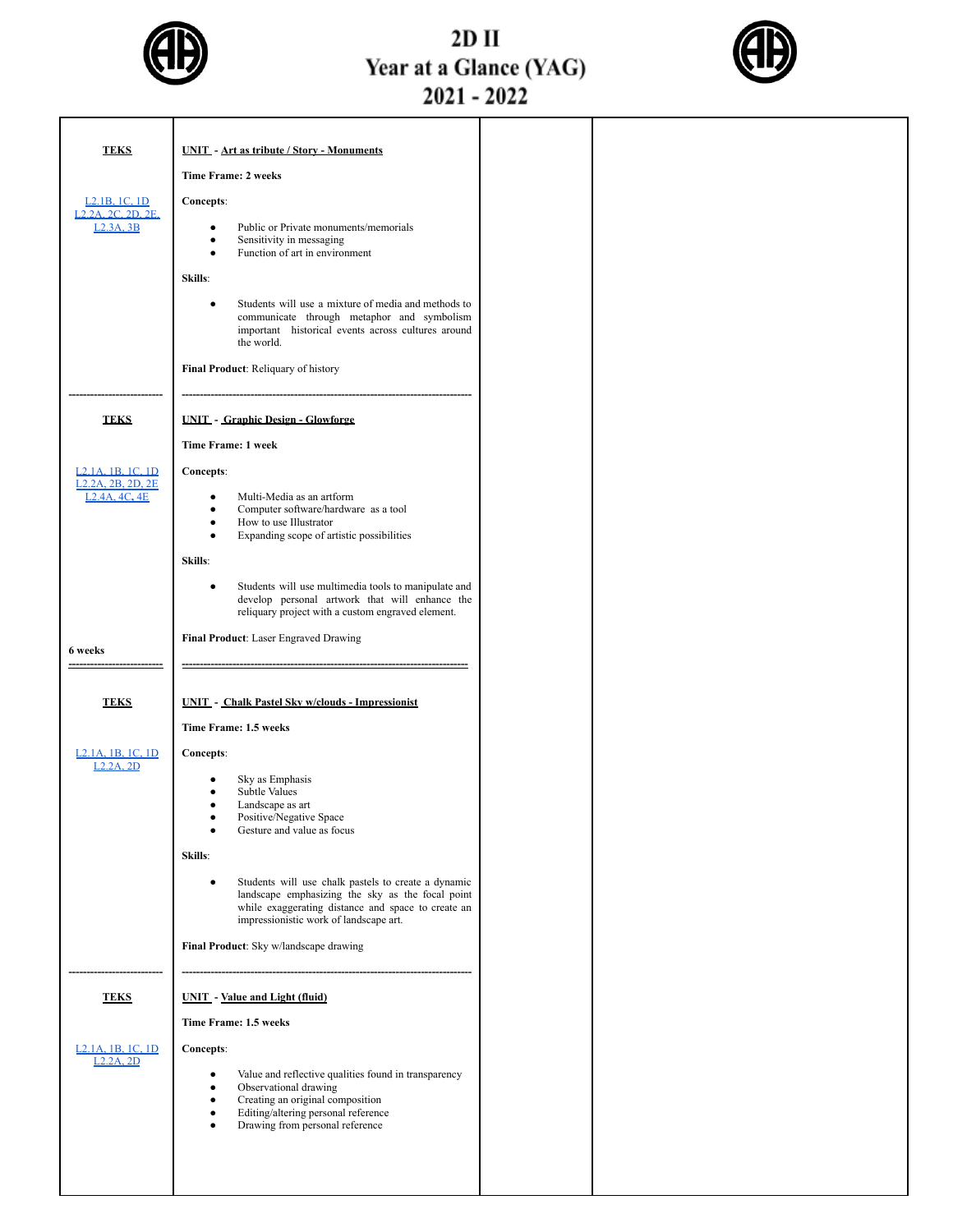

# 2D II<br>Year at a Glance (YAG)<br>2021 - 2022



| <b>TEKS</b>                                                                  | <b>UNIT</b> - Art as tribute / Story - Monuments                                                                                                                                                        |  |
|------------------------------------------------------------------------------|---------------------------------------------------------------------------------------------------------------------------------------------------------------------------------------------------------|--|
|                                                                              | <b>Time Frame: 2 weeks</b>                                                                                                                                                                              |  |
| L <sub>2</sub> .1B, 1C, 1D                                                   | Concepts:                                                                                                                                                                                               |  |
| L <sub>2</sub> 2A 2C 2D 2E                                                   |                                                                                                                                                                                                         |  |
| L <sub>2</sub> .3A, 3B                                                       | Public or Private monuments/memorials<br>$\bullet$<br>Sensitivity in messaging<br>$\bullet$<br>Function of art in environment<br>$\bullet$                                                              |  |
|                                                                              | Skills:                                                                                                                                                                                                 |  |
|                                                                              | Students will use a mixture of media and methods to<br>$\bullet$                                                                                                                                        |  |
|                                                                              | communicate through metaphor and symbolism<br>important historical events across cultures around<br>the world.                                                                                          |  |
|                                                                              | Final Product: Reliquary of history                                                                                                                                                                     |  |
| <b>TEKS</b>                                                                  | <b>UNIT - Graphic Design - Glowforge</b>                                                                                                                                                                |  |
|                                                                              | Time Frame: 1 week                                                                                                                                                                                      |  |
| L <sub>2</sub> .1A <sub>1</sub> B <sub>1</sub> C <sub>1</sub> D <sub>1</sub> | Concepts:                                                                                                                                                                                               |  |
| L <sub>2</sub> .2A, 2B, 2D, 2E<br>L <sub>2</sub> .4A, 4C, 4E                 | Multi-Media as an artform<br>٠                                                                                                                                                                          |  |
|                                                                              | Computer software/hardware as a tool<br>$\bullet$                                                                                                                                                       |  |
|                                                                              | How to use Illustrator<br>$\bullet$<br>Expanding scope of artistic possibilities<br>$\bullet$                                                                                                           |  |
|                                                                              | Skills:                                                                                                                                                                                                 |  |
|                                                                              |                                                                                                                                                                                                         |  |
|                                                                              | Students will use multimedia tools to manipulate and<br>$\bullet$<br>develop personal artwork that will enhance the<br>reliquary project with a custom engraved element.                                |  |
|                                                                              | Final Product: Laser Engraved Drawing                                                                                                                                                                   |  |
| 6 weeks                                                                      |                                                                                                                                                                                                         |  |
|                                                                              |                                                                                                                                                                                                         |  |
| <b>TEKS</b>                                                                  | <b>UNIT - Chalk Pastel Sky w/clouds - Impressionist</b>                                                                                                                                                 |  |
|                                                                              | Time Frame: 1.5 weeks                                                                                                                                                                                   |  |
|                                                                              |                                                                                                                                                                                                         |  |
| L <sub>2</sub> .1A, 1B, 1C, 1D<br>L2.2A.2D                                   | Concepts:                                                                                                                                                                                               |  |
|                                                                              | Sky as Emphasis<br><b>Subtle Values</b>                                                                                                                                                                 |  |
|                                                                              | Landscape as art<br>٠                                                                                                                                                                                   |  |
|                                                                              | Positive/Negative Space<br>Gesture and value as focus                                                                                                                                                   |  |
|                                                                              | Skills:                                                                                                                                                                                                 |  |
|                                                                              |                                                                                                                                                                                                         |  |
|                                                                              | Students will use chalk pastels to create a dynamic<br>landscape emphasizing the sky as the focal point<br>while exaggerating distance and space to create an<br>impressionistic work of landscape art. |  |
|                                                                              | Final Product: Sky w/landscape drawing                                                                                                                                                                  |  |
|                                                                              |                                                                                                                                                                                                         |  |
| <b>TEKS</b>                                                                  | <b>UNIT</b> - Value and Light (fluid)                                                                                                                                                                   |  |
|                                                                              | Time Frame: 1.5 weeks                                                                                                                                                                                   |  |
| <u>L<sub>2</sub>.1A</u> , 1B, 1C, 1D                                         | Concepts:                                                                                                                                                                                               |  |
| $L2.2A$ , $2D$                                                               | Value and reflective qualities found in transparency<br>٠                                                                                                                                               |  |
|                                                                              | Observational drawing<br>$\bullet$                                                                                                                                                                      |  |
|                                                                              | Creating an original composition<br>Editing/altering personal reference<br>$\bullet$                                                                                                                    |  |
|                                                                              | Drawing from personal reference                                                                                                                                                                         |  |
|                                                                              |                                                                                                                                                                                                         |  |
|                                                                              |                                                                                                                                                                                                         |  |
|                                                                              |                                                                                                                                                                                                         |  |